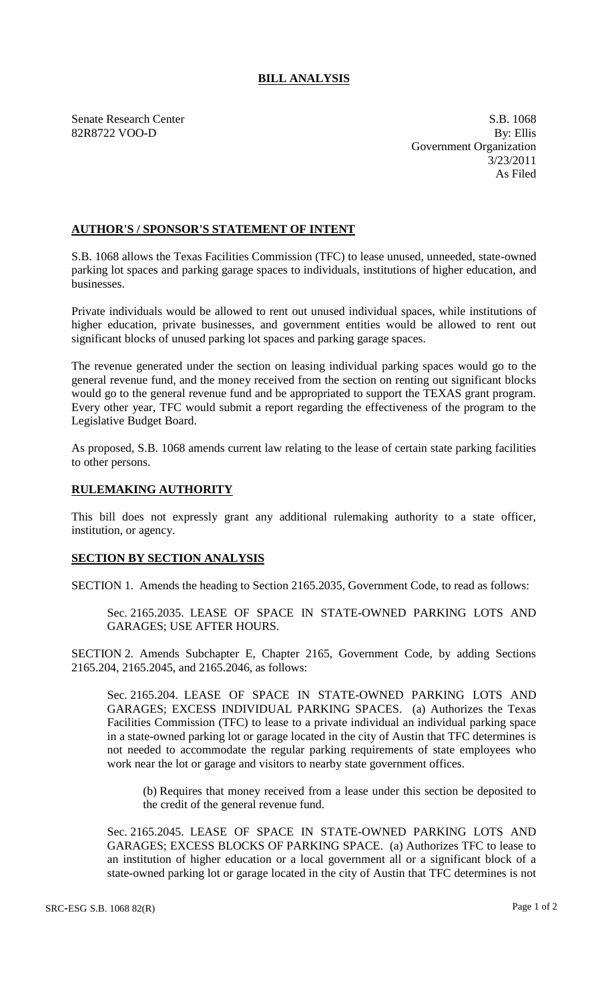## **BILL ANALYSIS**

Senate Research Center S.B. 1068

82R8722 VOO-D By: Ellis Government Organization 3/23/2011 As Filed

## **AUTHOR'S / SPONSOR'S STATEMENT OF INTENT**

S.B. 1068 allows the Texas Facilities Commission (TFC) to lease unused, unneeded, state-owned parking lot spaces and parking garage spaces to individuals, institutions of higher education, and businesses.

Private individuals would be allowed to rent out unused individual spaces, while institutions of higher education, private businesses, and government entities would be allowed to rent out significant blocks of unused parking lot spaces and parking garage spaces.

The revenue generated under the section on leasing individual parking spaces would go to the general revenue fund, and the money received from the section on renting out significant blocks would go to the general revenue fund and be appropriated to support the TEXAS grant program. Every other year, TFC would submit a report regarding the effectiveness of the program to the Legislative Budget Board.

As proposed, S.B. 1068 amends current law relating to the lease of certain state parking facilities to other persons.

## **RULEMAKING AUTHORITY**

This bill does not expressly grant any additional rulemaking authority to a state officer, institution, or agency.

## **SECTION BY SECTION ANALYSIS**

SECTION 1. Amends the heading to Section 2165.2035, Government Code, to read as follows:

Sec. 2165.2035. LEASE OF SPACE IN STATE-OWNED PARKING LOTS AND GARAGES; USE AFTER HOURS.

SECTION 2. Amends Subchapter E, Chapter 2165, Government Code, by adding Sections 2165.204, 2165.2045, and 2165.2046, as follows:

Sec. 2165.204. LEASE OF SPACE IN STATE-OWNED PARKING LOTS AND GARAGES; EXCESS INDIVIDUAL PARKING SPACES. (a) Authorizes the Texas Facilities Commission (TFC) to lease to a private individual an individual parking space in a state-owned parking lot or garage located in the city of Austin that TFC determines is not needed to accommodate the regular parking requirements of state employees who work near the lot or garage and visitors to nearby state government offices.

(b) Requires that money received from a lease under this section be deposited to the credit of the general revenue fund.

Sec. 2165.2045. LEASE OF SPACE IN STATE-OWNED PARKING LOTS AND GARAGES; EXCESS BLOCKS OF PARKING SPACE. (a) Authorizes TFC to lease to an institution of higher education or a local government all or a significant block of a state-owned parking lot or garage located in the city of Austin that TFC determines is not